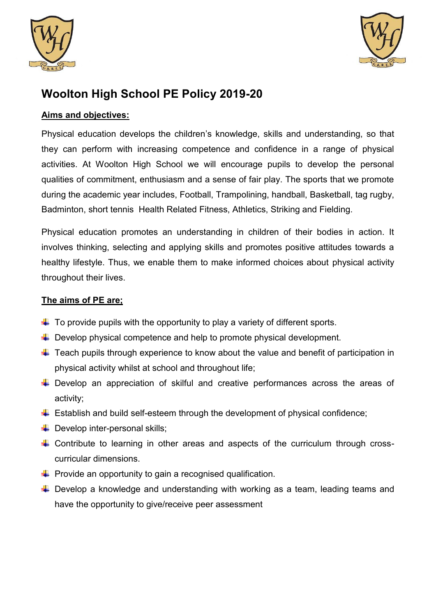



# **Woolton High School PE Policy 2019-20**

# **Aims and objectives:**

Physical education develops the children's knowledge, skills and understanding, so that they can perform with increasing competence and confidence in a range of physical activities. At Woolton High School we will encourage pupils to develop the personal qualities of commitment, enthusiasm and a sense of fair play. The sports that we promote during the academic year includes, Football, Trampolining, handball, Basketball, tag rugby, Badminton, short tennis Health Related Fitness, Athletics, Striking and Fielding.

Physical education promotes an understanding in children of their bodies in action. It involves thinking, selecting and applying skills and promotes positive attitudes towards a healthy lifestyle. Thus, we enable them to make informed choices about physical activity throughout their lives.

## **The aims of PE are;**

- $\downarrow$  To provide pupils with the opportunity to play a variety of different sports.
- $\downarrow$  Develop physical competence and help to promote physical development.
- $\downarrow$  Teach pupils through experience to know about the value and benefit of participation in physical activity whilst at school and throughout life;
- $\ddot$  Develop an appreciation of skilful and creative performances across the areas of activity;
- $\triangleq$  Establish and build self-esteem through the development of physical confidence;
- $\leftarrow$  Develop inter-personal skills;
- $\ddot{+}$  Contribute to learning in other areas and aspects of the curriculum through crosscurricular dimensions.
- $\downarrow$  Provide an opportunity to gain a recognised qualification.
- $\downarrow$  Develop a knowledge and understanding with working as a team, leading teams and have the opportunity to give/receive peer assessment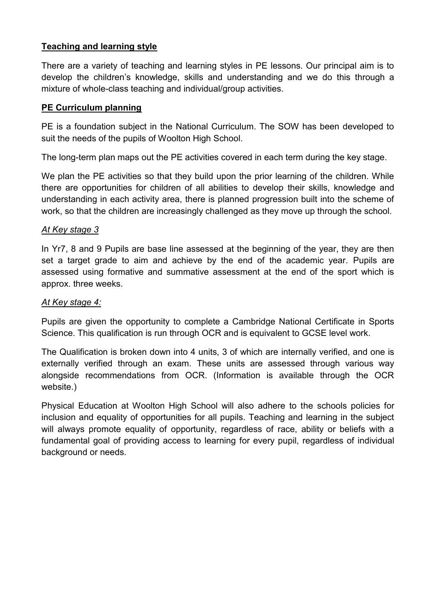## **Teaching and learning style**

There are a variety of teaching and learning styles in PE lessons. Our principal aim is to develop the children's knowledge, skills and understanding and we do this through a mixture of whole-class teaching and individual/group activities.

## **PE Curriculum planning**

PE is a foundation subject in the National Curriculum. The SOW has been developed to suit the needs of the pupils of Woolton High School.

The long-term plan maps out the PE activities covered in each term during the key stage.

We plan the PE activities so that they build upon the prior learning of the children. While there are opportunities for children of all abilities to develop their skills, knowledge and understanding in each activity area, there is planned progression built into the scheme of work, so that the children are increasingly challenged as they move up through the school.

## *At Key stage 3*

In Yr7, 8 and 9 Pupils are base line assessed at the beginning of the year, they are then set a target grade to aim and achieve by the end of the academic year. Pupils are assessed using formative and summative assessment at the end of the sport which is approx. three weeks.

## *At Key stage 4:*

Pupils are given the opportunity to complete a Cambridge National Certificate in Sports Science. This qualification is run through OCR and is equivalent to GCSE level work.

The Qualification is broken down into 4 units, 3 of which are internally verified, and one is externally verified through an exam. These units are assessed through various way alongside recommendations from OCR. (Information is available through the OCR website.)

Physical Education at Woolton High School will also adhere to the schools policies for inclusion and equality of opportunities for all pupils. Teaching and learning in the subject will always promote equality of opportunity, regardless of race, ability or beliefs with a fundamental goal of providing access to learning for every pupil, regardless of individual background or needs.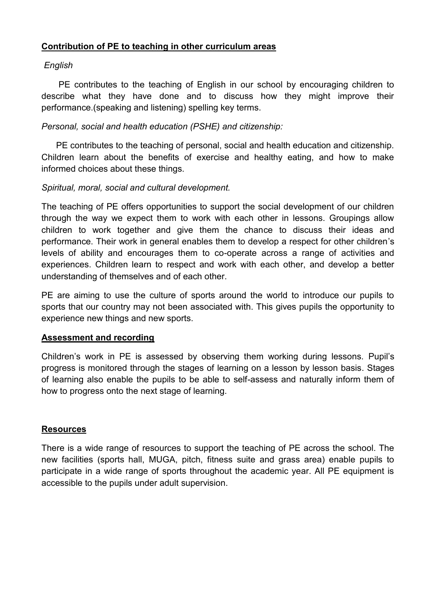## **Contribution of PE to teaching in other curriculum areas**

## *English*

 PE contributes to the teaching of English in our school by encouraging children to describe what they have done and to discuss how they might improve their performance.(speaking and listening) spelling key terms.

## *Personal, social and health education (PSHE) and citizenship:*

 PE contributes to the teaching of personal, social and health education and citizenship. Children learn about the benefits of exercise and healthy eating, and how to make informed choices about these things.

## *Spiritual, moral, social and cultural development.*

The teaching of PE offers opportunities to support the social development of our children through the way we expect them to work with each other in lessons. Groupings allow children to work together and give them the chance to discuss their ideas and performance. Their work in general enables them to develop a respect for other children's levels of ability and encourages them to co-operate across a range of activities and experiences. Children learn to respect and work with each other, and develop a better understanding of themselves and of each other.

PE are aiming to use the culture of sports around the world to introduce our pupils to sports that our country may not been associated with. This gives pupils the opportunity to experience new things and new sports.

#### **Assessment and recording**

Children's work in PE is assessed by observing them working during lessons. Pupil's progress is monitored through the stages of learning on a lesson by lesson basis. Stages of learning also enable the pupils to be able to self-assess and naturally inform them of how to progress onto the next stage of learning.

#### **Resources**

There is a wide range of resources to support the teaching of PE across the school. The new facilities (sports hall, MUGA, pitch, fitness suite and grass area) enable pupils to participate in a wide range of sports throughout the academic year. All PE equipment is accessible to the pupils under adult supervision.